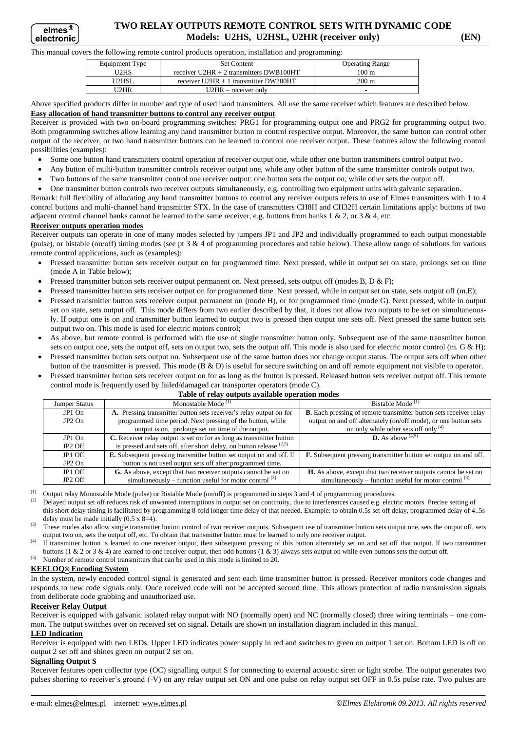# **TWO RELAY OUTPUTS REMOTE CONTROL SETS WITH DYNAMIC CODE Models: U2HS, U2HSL, U2HR (receiver only) (EN)**

#### This manual covers the following remote control products operation, installation and programming:

| Equipment Type | <b>Set Content</b>                        | <b>Operating Range</b> |
|----------------|-------------------------------------------|------------------------|
| <b>J2HS</b>    | receiver U2HR $+$ 2 transmitters DWB100HT | 100 m                  |
| <b>J2HSI</b>   | receiver $U2HR + 1$ transmitter DW200HT   | $200 \text{ m}$        |
| $12$ HR        | $U2HR - receiver$ only                    |                        |

Above specified products differ in number and type of used hand transmitters. All use the same receiver which features are described below. **Easy allocation of hand transmitter buttons to control any receiver output**

Receiver is provided with two on-board programming switches: PRG1 for programming output one and PRG2 for programming output two. Both programming switches allow learning any hand transmitter button to control respective output. Moreover, the same button can control other output of the receiver, or two hand transmitter buttons can be learned to control one receiver output. These features allow the following control possibilities (examples):

- Some one button hand transmitters control operation of receiver output one, while other one button transmitters control output two.
- Any button of multi-button transmitter controls receiver output one, while any other button of the same transmitter controls output two.
- Two buttons of the same transmitter control one receiver output: one button sets the output on, while other sets the output off.
- One transmitter button controls two receiver outputs simultaneously, e.g. controlling two equipment units with galvanic separation.

Remark: full flexibility of allocating any hand transmitter buttons to control any receiver outputs refers to use of Elmes transmitters with 1 to 4 control buttons and multi-channel hand transmitter STX. In the case of transmitters CH8H and CH32H certain limitations apply: buttons of two adjacent control channel banks cannot be learned to the same receiver, e.g. buttons from banks 1 & 2, or 3 & 4, etc.

## **Receiver outputs operation modes**

Receiver outputs can operate in one of many modes selected by jumpers JP1 and JP2 and individually programmed to each output monostable (pulse), or bistable (on/off) timing modes (see pt 3 & 4 of programming procedures and table below). These allow range of solutions for various remote control applications, such as (examples):

- Pressed transmitter button sets receiver output on for programmed time. Next pressed, while in output set on state, prolongs set on time (mode A in Table below);
- Pressed transmitter button sets receiver output permanent on. Next pressed, sets output off (modes B, D & F);
- Pressed transmitter button sets receiver output on for programmed time. Next pressed, while in output set on state, sets output off (m.E);
- Pressed transmitter button sets receiver output permanent on (mode H), or for programmed time (mode G). Next pressed, while in output set on state, sets output off. This mode differs from two earlier described by that, it does not allow two outputs to be set on simultaneously. If output one is on and transmitter button learned to output two is pressed then output one sets off. Next pressed the same button sets output two on. This mode is used for electric motors control;
- As above, but remote control is performed with the use of single transmitter button only. Subsequent use of the same transmitter button sets on output one, sets the output off, sets on output two, sets the output off. This mode is also used for electric motor control (m.  $G \& H$ );
- Pressed transmitter button sets output on. Subsequent use of the same button does not change output status. The output sets off when other button of the transmitter is pressed. This mode (B & D) is useful for secure switching on and off remote equipment not visible to operator.
- Pressed transmitter button sets receiver output on for as long as the button is pressed. Released button sets receiver output off. This remote control mode is frequently used by failed/damaged car transporter operators (mode C).

| Table of relay outputs available operation modes |                                                                       |                                                                         |  |  |  |
|--------------------------------------------------|-----------------------------------------------------------------------|-------------------------------------------------------------------------|--|--|--|
| <b>Jumper Status</b>                             | Monostable Mode $(1)$                                                 | Bistable Mode <sup>(1)</sup>                                            |  |  |  |
| $JP1$ On                                         | A. Pressing transmitter button sets receiver's relay output on for    | B. Each pressing of remote transmitter button sets receiver relay       |  |  |  |
| $JP2$ On                                         | programmed time period. Next pressing of the button, while            | output on and off alternately (on/off mode), or one button sets         |  |  |  |
|                                                  | output is on, prolongs set on time of the output.                     | on only while other sets off only $(4)$                                 |  |  |  |
| $JP1$ On                                         | C. Receiver relay output is set on for as long as transmitter button  | <b>D.</b> As above $(4,5)$                                              |  |  |  |
| JP2 Off                                          | is pressed and sets off, after short delay, on button release $(2.5)$ |                                                                         |  |  |  |
| JP1 Off                                          | E. Subsequent pressing transmitter button set output on and off. If   | <b>F.</b> Subsequent pressing transmitter button set output on and off. |  |  |  |
| $JP2$ On                                         | button is not used output sets off after programmed time.             |                                                                         |  |  |  |
| JP1 Off                                          | G. As above, except that two receiver outputs cannot be set on        | <b>H.</b> As above, except that two receiver outputs cannot be set on   |  |  |  |
| JP2 Off                                          | simultaneously – function useful for motor control <sup>(3)</sup>     | simultaneously – function useful for motor control <sup>(3)</sup>       |  |  |  |

(1) Output relay Monostable Mode (pulse) or Bistable Mode (on/off) is programmed in steps 3 and 4 of programming procedures.<br>(2) Delayed output set off reduces risk of unwanted interruptions in output set on continuity, d

(2) Delayed output set off reduces risk of unwanted interruptions in output set on continuity, due to interferences caused e.g. electric motors. Precise setting of this short delay timing is facilitated by programming 8-fold longer time delay of that needed. Example: to obtain 0.5s set off delay, programmed delay of 4..5s delay must be made initially  $(0.5 \times 8=4)$ .

<sup>(3)</sup> These modes also allow single transmitter button control of two receiver outputs. Subsequent use of transmitter button sets output one, sets the output off, sets output two on, sets the output off, etc. To obtain that transmitter button must be learned to only one receiver output.

(4) If transmitter button is learned to one receiver output, then subsequent pressing of this button alternately set on and set off that output. If two transmitter buttons (1 & 2 or 3 & 4) are learned to one receiver output, then odd buttons (1 & 3) always sets output on while even buttons sets the output off.

(5) Number of remote control transmitters that can be used in this mode is limited to 20.

## **KEELOQ® Encoding System**

In the system, newly encoded control signal is generated and sent each time transmitter button is pressed. Receiver monitors code changes and responds to new code signals only. Once received code will not be accepted second time. This allows protection of radio transmission signals from deliberate code grabbing and unauthorized use.

## **Receiver Relay Output**

Receiver is equipped with galvanic isolated relay output with NO (normally open) and NC (normally closed) three wiring terminals – one common. The output switches over on received set on signal. Details are shown on installation diagram included in this manual.

## **LED Indication**

Receiver is equipped with two LEDs. Upper LED indicates power supply in red and switches to green on output 1 set on. Bottom LED is off on output 2 set off and shines green on output 2 set on.

## **Signalling Output S**

Receiver features open collector type (OC) signalling output S for connecting to external acoustic siren or light strobe. The output generates two pulses shorting to receiver's ground (-V) on any relay output set ON and one pulse on relay output set OFF in 0.5s pulse rate. Two pulses are